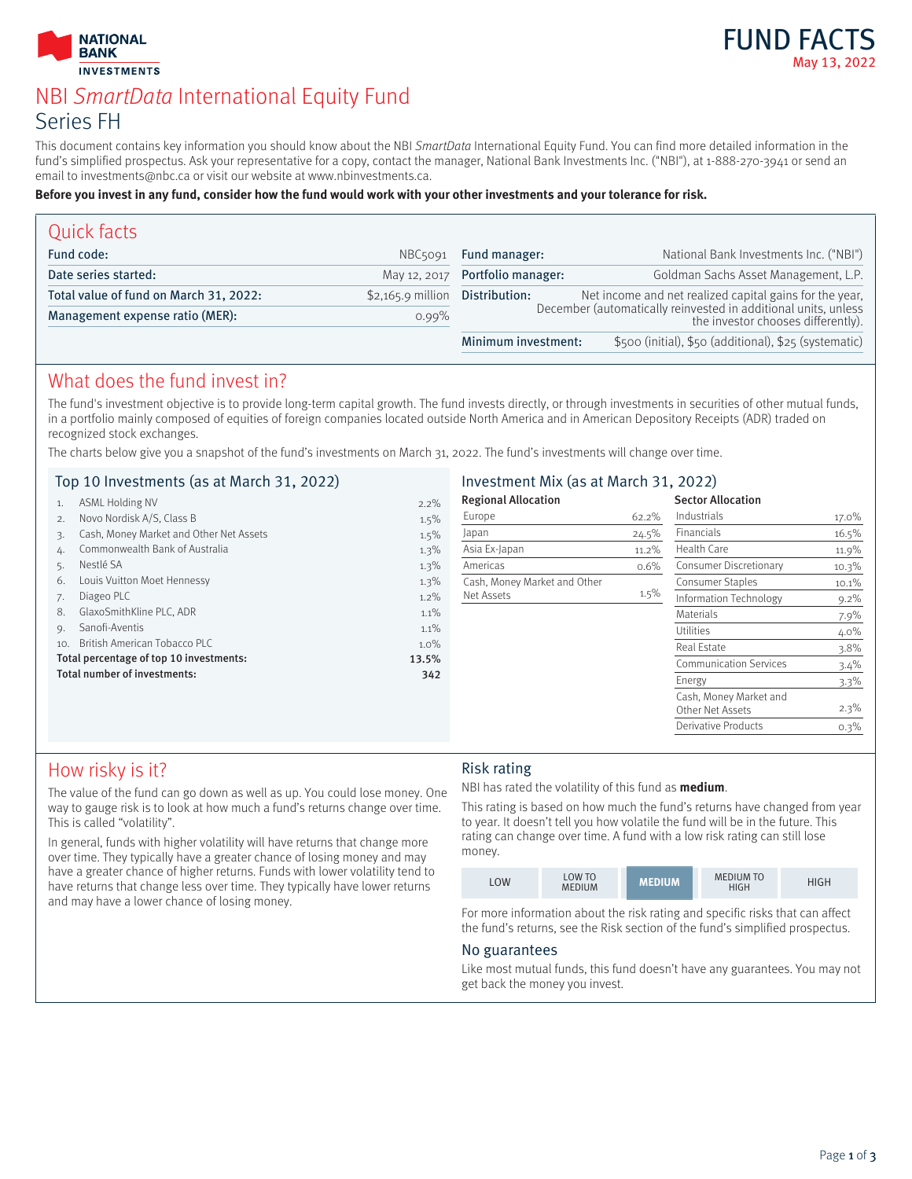



# NBI SmartData International Equity Fund Series FH

This document contains key information you should know about the NBI SmartData International Equity Fund. You can find more detailed information in the fund's simplified prospectus. Ask your representative for a copy, contact the manager, National Bank Investments Inc. ("NBI"), at 1-888-270-3941 or send an email to investments@nbc.ca or visit our website at www.nbinvestments.ca.

#### **Before you invest in any fund, consider how the fund would work with your other investments and your tolerance for risk.**

| Quick facts                            |                    |                                                                                                      |                                                         |  |
|----------------------------------------|--------------------|------------------------------------------------------------------------------------------------------|---------------------------------------------------------|--|
| Fund code:                             | NBC5091            | Fund manager:                                                                                        | National Bank Investments Inc. ("NBI")                  |  |
| Date series started:                   | May 12, 2017       | Portfolio manager:                                                                                   | Goldman Sachs Asset Management, L.P.                    |  |
| Total value of fund on March 31, 2022: | $$2,165.9$ million | Distribution:                                                                                        | Net income and net realized capital gains for the year, |  |
| Management expense ratio (MER):        | $0.99\%$           | December (automatically reinvested in additional units, unless<br>the investor chooses differently). |                                                         |  |
|                                        |                    | Minimum investment:                                                                                  | \$500 (initial), \$50 (additional), \$25 (systematic)   |  |

# What does the fund invest in?

The fund's investment objective is to provide long-term capital growth. The fund invests directly, or through investments in securities of other mutual funds, in a portfolio mainly composed of equities of foreign companies located outside North America and in American Depository Receipts (ADR) traded on recognized stock exchanges.

The charts below give you a snapshot of the fund's investments on March 31, 2022. The fund's investments will change over time.

|     | Top 10 Investments (as at March 31, 2022) |         | Investment Mix (as at March 31, 2022) |         |                               |         |
|-----|-------------------------------------------|---------|---------------------------------------|---------|-------------------------------|---------|
| 1.  | <b>ASML Holding NV</b>                    | $2.2\%$ | <b>Regional Allocation</b>            |         | <b>Sector Allocation</b>      |         |
| 2.  | Novo Nordisk A/S, Class B                 | 1.5%    | Europe                                | 62.2%   | Industrials                   | 17.0%   |
| 3.  | Cash, Money Market and Other Net Assets   | 1.5%    | Japan                                 | 24.5%   | Financials                    | 16.5%   |
|     | Commonwealth Bank of Australia            | 1.3%    | Asia Ex-Japan                         | 11.2%   | Health Care                   | 11.9%   |
|     | Nestlé SA                                 | 1.3%    | Americas                              | 0.6%    | Consumer Discretionary        | 10.3%   |
| 6.  | Louis Vuitton Moet Hennessy               | 1.3%    | Cash, Money Market and Other          |         | <b>Consumer Staples</b>       | 10.1%   |
| 7.  | Diageo PLC                                | $1.2\%$ | Net Assets                            | $1.5\%$ | Information Technology        | $9.2\%$ |
| 8.  | GlaxoSmithKline PLC, ADR                  | $1.1\%$ |                                       |         | <b>Materials</b>              | $7.9\%$ |
| 9.  | Sanofi-Aventis                            | $1.1\%$ |                                       |         | Utilities                     | $4.0\%$ |
| 10. | British American Tobacco PLC              | $1.0\%$ |                                       |         | Real Estate                   | $3.8\%$ |
|     | Total percentage of top 10 investments:   | 13.5%   |                                       |         | <b>Communication Services</b> | $3.4\%$ |
|     | Total number of investments:              | 342     |                                       |         | Energy                        | $3.3\%$ |
|     |                                           |         |                                       |         | Cash, Money Market and        |         |
|     |                                           |         |                                       |         | Other Net Assets              | $2.3\%$ |
|     |                                           |         |                                       |         | Derivative Products           | 0.3%    |

# How risky is it?

The value of the fund can go down as well as up. You could lose money. One way to gauge risk is to look at how much a fund's returns change over time. This is called "volatility".

In general, funds with higher volatility will have returns that change more over time. They typically have a greater chance of losing money and may have a greater chance of higher returns. Funds with lower volatility tend to have returns that change less over time. They typically have lower returns and may have a lower chance of losing money.

### Risk rating

NBI has rated the volatility of this fund as **medium**.

This rating is based on how much the fund's returns have changed from year to year. It doesn't tell you how volatile the fund will be in the future. This rating can change over time. A fund with a low risk rating can still lose money.

| .OW | <b>LOW TO</b><br><b>MEDIUM</b> | MEDIUM | <b>MEDIUM TO</b><br>HIGH | ዘIGH |
|-----|--------------------------------|--------|--------------------------|------|

For more information about the risk rating and specific risks that can affect the fund's returns, see the Risk section of the fund's simplified prospectus.

#### No guarantees

Like most mutual funds, this fund doesn't have any guarantees. You may not get back the money you invest.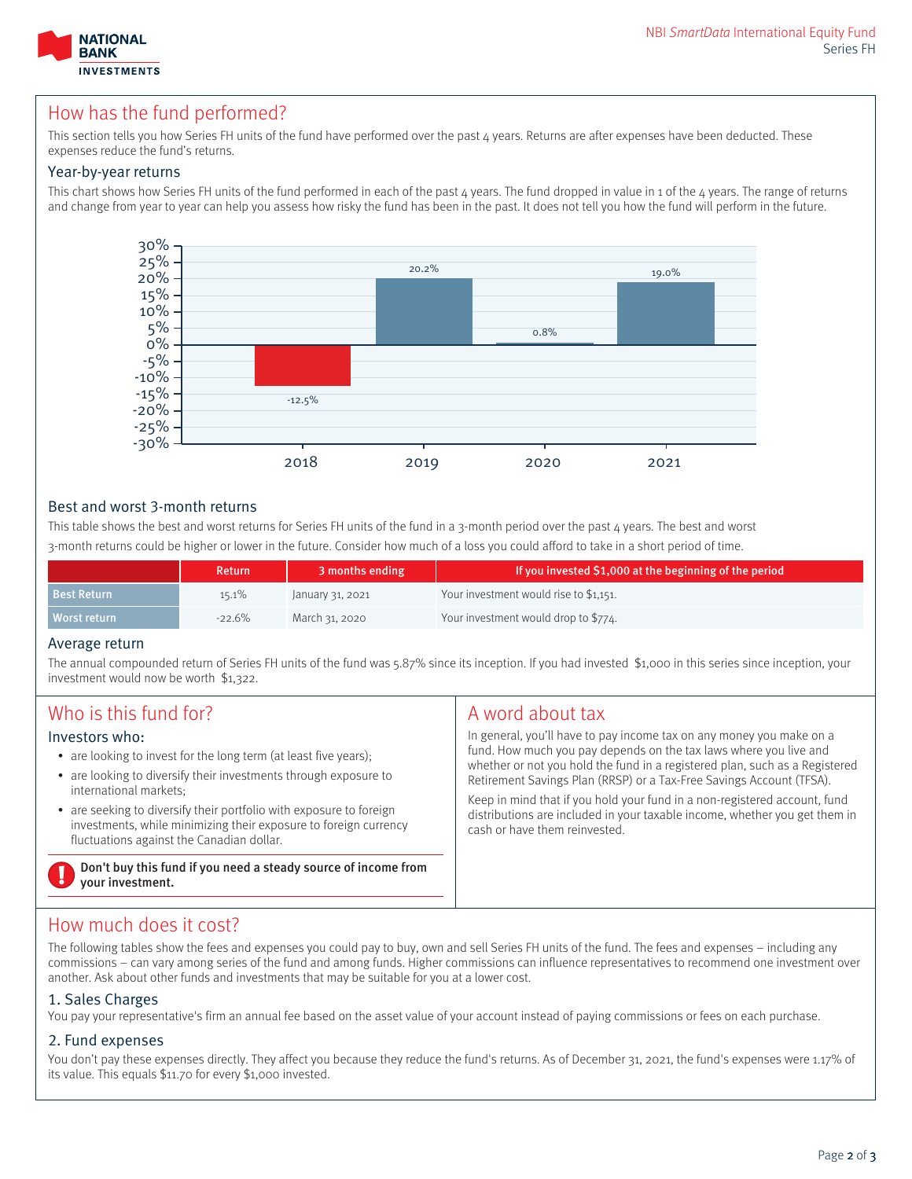

# How has the fund performed?

This section tells you how Series FH units of the fund have performed over the past 4 years. Returns are after expenses have been deducted. These expenses reduce the fund's returns.

#### Year-by-year returns

This chart shows how Series FH units of the fund performed in each of the past  $4$  years. The fund dropped in value in 1 of the  $4$  years. The range of returns and change from year to year can help you assess how risky the fund has been in the past. It does not tell you how the fund will perform in the future.



### Best and worst 3-month returns

This table shows the best and worst returns for Series FH units of the fund in a 3-month period over the past 4 years. The best and worst 3-month returns could be higher or lower in the future. Consider how much of a loss you could afford to take in a short period of time.

|                    | <b>Return</b> | 3 months ending  | If you invested \$1,000 at the beginning of the period |
|--------------------|---------------|------------------|--------------------------------------------------------|
| <b>Best Return</b> | $15.1\%$      | January 31, 2021 | Your investment would rise to \$1,151.                 |
| Worst return       | $-22.6%$      | March 31, 2020   | Your investment would drop to \$774.                   |

#### Average return

The annual compounded return of Series FH units of the fund was 5.87% since its inception. If you had invested \$1,000 in this series since inception, your investment would now be worth \$1,322.

| Who is this fund for?                                                              | A word about tax                                                            |
|------------------------------------------------------------------------------------|-----------------------------------------------------------------------------|
| Investors who:                                                                     | In general, you'll have to pay income tax on any money you make on a        |
| • are looking to invest for the long term (at least five years);                   | fund. How much you pay depends on the tax laws where you live and           |
| • are looking to diversify their investments through exposure to                   | whether or not you hold the fund in a registered plan, such as a Registered |
| international markets;                                                             | Retirement Savings Plan (RRSP) or a Tax-Free Savings Account (TFSA).        |
| • are seeking to diversify their portfolio with exposure to foreign                | Keep in mind that if you hold your fund in a non-registered account, fund   |
| investments, while minimizing their exposure to foreign currency                   | distributions are included in your taxable income, whether you get them in  |
| fluctuations against the Canadian dollar.                                          | cash or have them reinvested.                                               |
| Don't buy this fund if you need a steady source of income from<br>vour investment. |                                                                             |

# How much does it cost?

The following tables show the fees and expenses you could pay to buy, own and sell Series FH units of the fund. The fees and expenses – including any commissions – can vary among series of the fund and among funds. Higher commissions can influence representatives to recommend one investment over another. Ask about other funds and investments that may be suitable for you at a lower cost.

### 1. Sales Charges

You pay your representative's firm an annual fee based on the asset value of your account instead of paying commissions or fees on each purchase.

### 2. Fund expenses

You don't pay these expenses directly. They affect you because they reduce the fund's returns. As of December 31, 2021, the fund's expenses were 1.17% of its value. This equals \$11.70 for every \$1,000 invested.